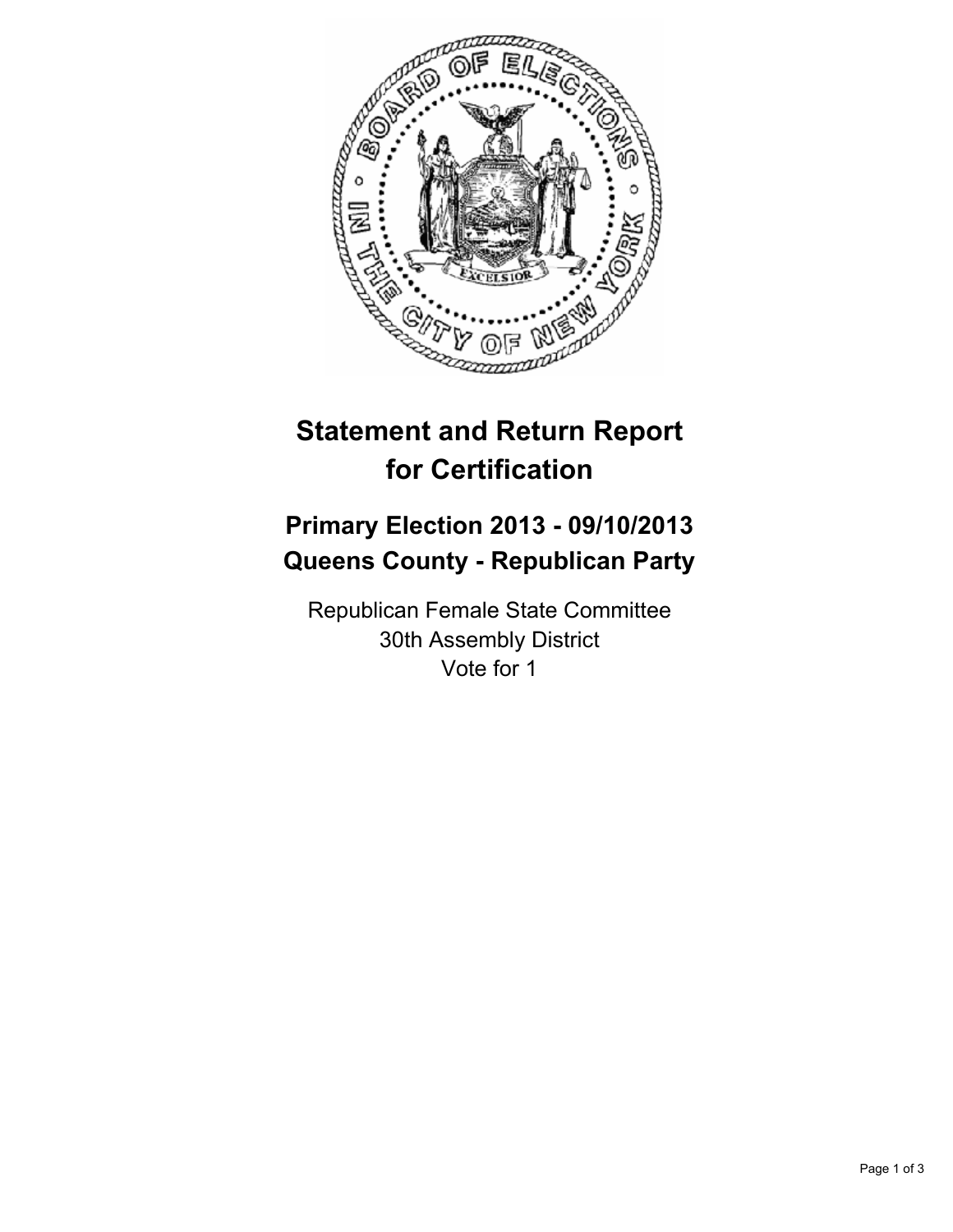

# **Statement and Return Report for Certification**

## **Primary Election 2013 - 09/10/2013 Queens County - Republican Party**

Republican Female State Committee 30th Assembly District Vote for 1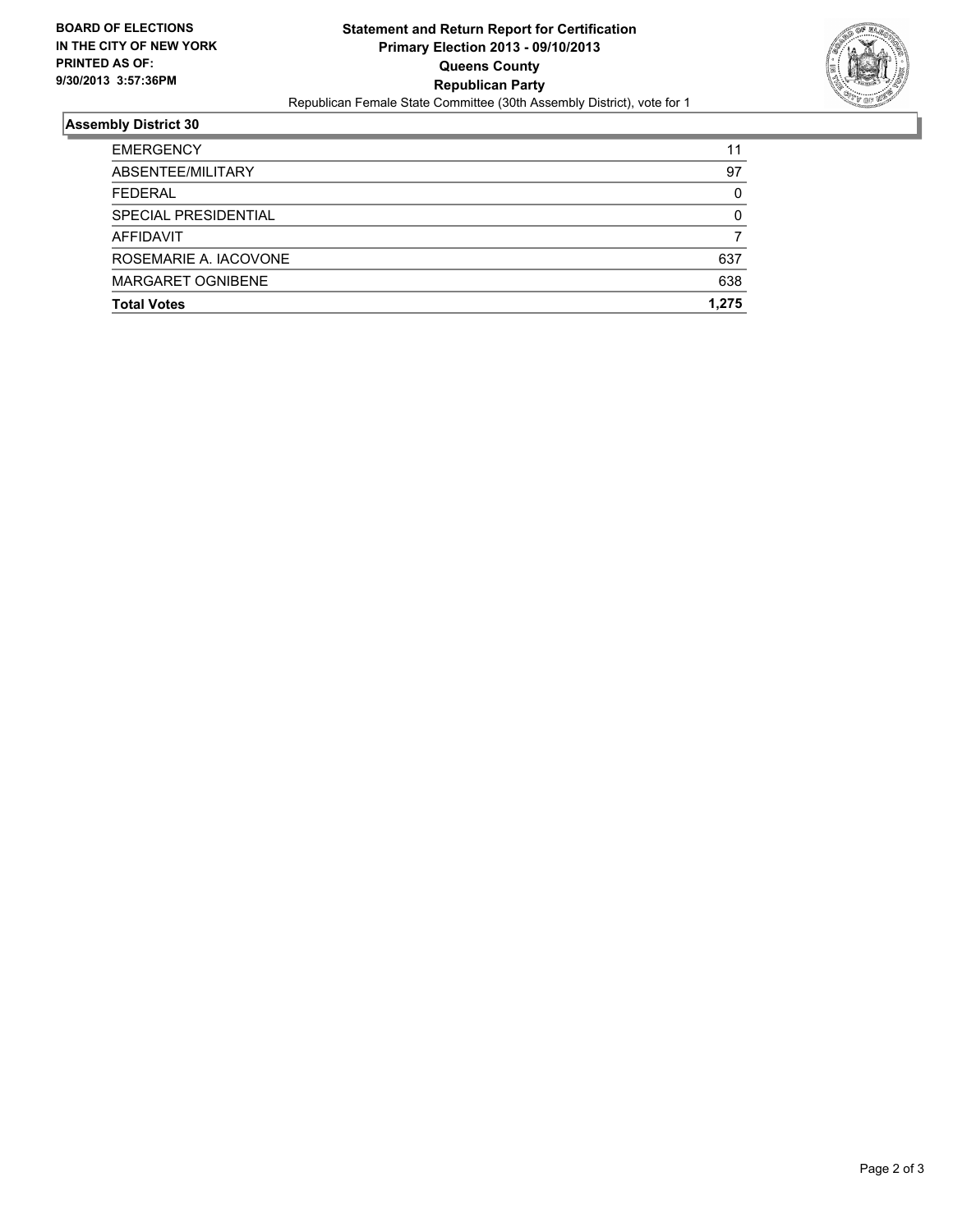

### **Assembly District 30**

| <b>Total Votes</b>    | 1.275    |
|-----------------------|----------|
|                       |          |
| MARGARET OGNIBENE     | 638      |
| ROSEMARIE A. IACOVONE | 637      |
| AFFIDAVIT             |          |
| SPECIAL PRESIDENTIAL  | 0        |
| <b>FEDERAL</b>        | $\Omega$ |
| ABSENTEE/MILITARY     | 97       |
| <b>EMERGENCY</b>      | 11       |